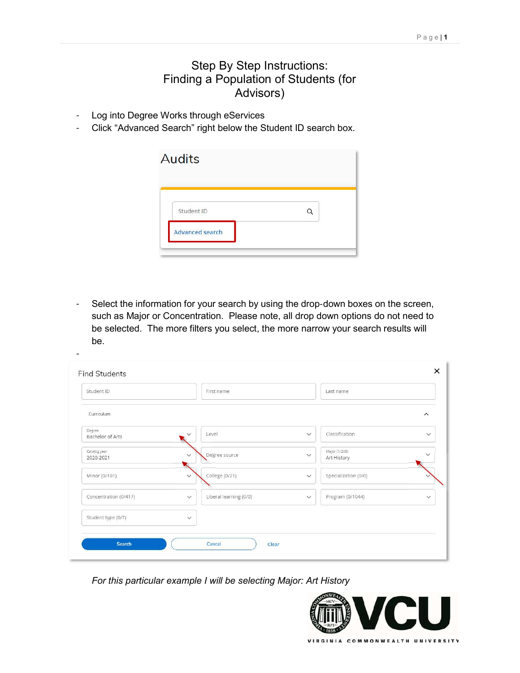## Step By Step Instructions: Finding a Population of Students (for Advisors)

Log into Degree Works through eServices

−

<sup>−</sup> Click "Advanced Search" right below the Student ID search box.

| <b>Audits</b>          |  |
|------------------------|--|
| Student ID             |  |
| <b>Advanced search</b> |  |

Select the information for your search by using the drop-down boxes on the screen, such as Major or Concentration. Please note, all drop down options do not need to be selected. The more filters you select, the more narrow your search results will be.

| Student ID                 | First name                             | Last name                                    |              |
|----------------------------|----------------------------------------|----------------------------------------------|--------------|
| Curriculum                 |                                        |                                              | $\wedge$     |
| Degree<br>Bachelor of Arts | Level<br>$\checkmark$                  | Classification<br>$\checkmark$               | $\checkmark$ |
| Catalog year<br>2020-2021  | Degree source<br>$\checkmark$          | Major (1/248)<br>$\checkmark$<br>Art History | $\checkmark$ |
| Minor (0/101)              | College (0/21)<br>$\checkmark$         | Specialization (0/0)<br>$\checkmark$         |              |
| Concentration (0/417)      | Liberal learning (0/0)<br>$\checkmark$ | Program (0/1044)<br>$\checkmark$             | $\checkmark$ |
| Student type (0/7)         | $\checkmark$                           |                                              |              |

For this particular example I will be selecting Major: Art History

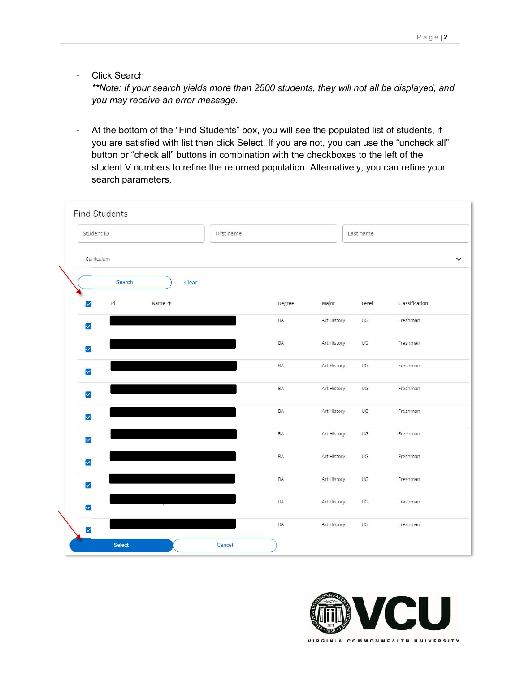<sup>−</sup> Click Search

\*\*Note: If your search yields more than 2500 students, they will not all be displayed, and you may receive an error message.

<sup>−</sup> At the bottom of the "Find Students" box, you will see the populated list of students, if you are satisfied with list then click Select. If you are not, you can use the "uncheck all" button or "check all" buttons in combination with the checkboxes to the left of the student V numbers to refine the returned population. Alternatively, you can refine your search parameters.

| Student ID              | First name |             | Last name |                |
|-------------------------|------------|-------------|-----------|----------------|
| Curriculum              |            |             |           |                |
| Search<br>Clear         |            |             |           |                |
| Id<br>Name 个<br>✓       | Degree     | Major       | Level     | Classification |
| $\blacktriangledown$    | BA         | Art History | UG        | Freshman       |
| $\overline{\mathbf{y}}$ | BA         | Art History | UG        | Freshman       |
| $\overline{\mathsf{v}}$ | BA         | Art History | UG.       | Freshman       |
| $\blacktriangledown$    | BA         | Art History | UG        | Freshman       |
| $\checkmark$            | BA         | Art History | UG        | Freshman       |
| $\blacktriangledown$    | BA         | Art History | UG        | Freshman       |
| $\overline{\mathsf{v}}$ | BA         | Art History | UG        | Freshman       |
| $\blacktriangledown$    | BA         | Art History | UG        | Freshman       |
| $\overline{\mathsf{v}}$ | BA         | Art History | UG        | Freshman       |
| $\checkmark$            | BA         | Art History | UG        | Freshman       |